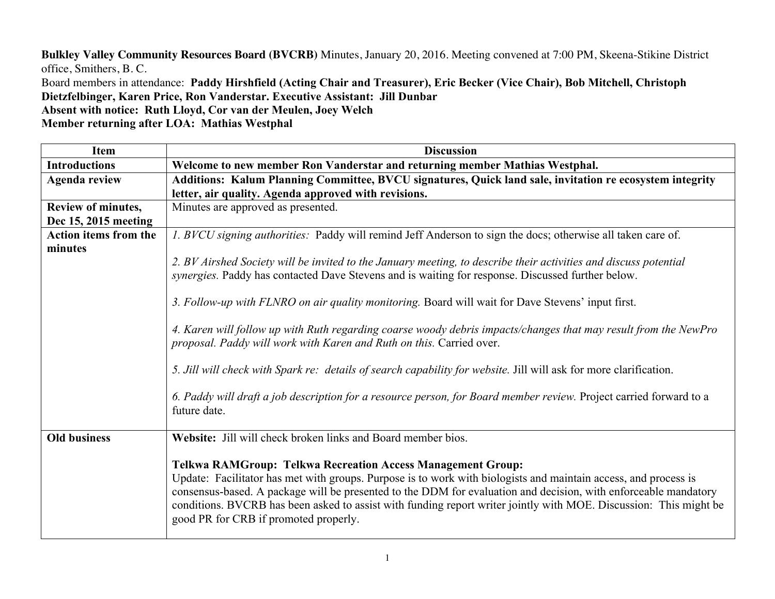**Bulkley Valley Community Resources Board (BVCRB)** Minutes, January 20, 2016. Meeting convened at 7:00 PM, Skeena-Stikine District office, Smithers, B. C.

Board members in attendance: **Paddy Hirshfield (Acting Chair and Treasurer), Eric Becker (Vice Chair), Bob Mitchell, Christoph Dietzfelbinger, Karen Price, Ron Vanderstar. Executive Assistant: Jill Dunbar**

**Absent with notice: Ruth Lloyd, Cor van der Meulen, Joey Welch**

**Member returning after LOA: Mathias Westphal**

| <b>Item</b>                  | <b>Discussion</b>                                                                                                                                                                                                                                                                                                                                                                                                                                                      |
|------------------------------|------------------------------------------------------------------------------------------------------------------------------------------------------------------------------------------------------------------------------------------------------------------------------------------------------------------------------------------------------------------------------------------------------------------------------------------------------------------------|
| <b>Introductions</b>         | Welcome to new member Ron Vanderstar and returning member Mathias Westphal.                                                                                                                                                                                                                                                                                                                                                                                            |
| <b>Agenda review</b>         | Additions: Kalum Planning Committee, BVCU signatures, Quick land sale, invitation re ecosystem integrity                                                                                                                                                                                                                                                                                                                                                               |
|                              | letter, air quality. Agenda approved with revisions.                                                                                                                                                                                                                                                                                                                                                                                                                   |
| Review of minutes,           | Minutes are approved as presented.                                                                                                                                                                                                                                                                                                                                                                                                                                     |
| Dec 15, 2015 meeting         |                                                                                                                                                                                                                                                                                                                                                                                                                                                                        |
| <b>Action items from the</b> | 1. BVCU signing authorities: Paddy will remind Jeff Anderson to sign the docs; otherwise all taken care of.                                                                                                                                                                                                                                                                                                                                                            |
| minutes                      |                                                                                                                                                                                                                                                                                                                                                                                                                                                                        |
|                              | 2. BV Airshed Society will be invited to the January meeting, to describe their activities and discuss potential<br>synergies. Paddy has contacted Dave Stevens and is waiting for response. Discussed further below.                                                                                                                                                                                                                                                  |
|                              | 3. Follow-up with FLNRO on air quality monitoring. Board will wait for Dave Stevens' input first.                                                                                                                                                                                                                                                                                                                                                                      |
|                              | 4. Karen will follow up with Ruth regarding coarse woody debris impacts/changes that may result from the NewPro<br>proposal. Paddy will work with Karen and Ruth on this. Carried over.                                                                                                                                                                                                                                                                                |
|                              | 5. Jill will check with Spark re: details of search capability for website. Jill will ask for more clarification.                                                                                                                                                                                                                                                                                                                                                      |
|                              | 6. Paddy will draft a job description for a resource person, for Board member review. Project carried forward to a<br>future date.                                                                                                                                                                                                                                                                                                                                     |
| <b>Old business</b>          | Website: Jill will check broken links and Board member bios.                                                                                                                                                                                                                                                                                                                                                                                                           |
|                              | <b>Telkwa RAMGroup: Telkwa Recreation Access Management Group:</b><br>Update: Facilitator has met with groups. Purpose is to work with biologists and maintain access, and process is<br>consensus-based. A package will be presented to the DDM for evaluation and decision, with enforceable mandatory<br>conditions. BVCRB has been asked to assist with funding report writer jointly with MOE. Discussion: This might be<br>good PR for CRB if promoted properly. |